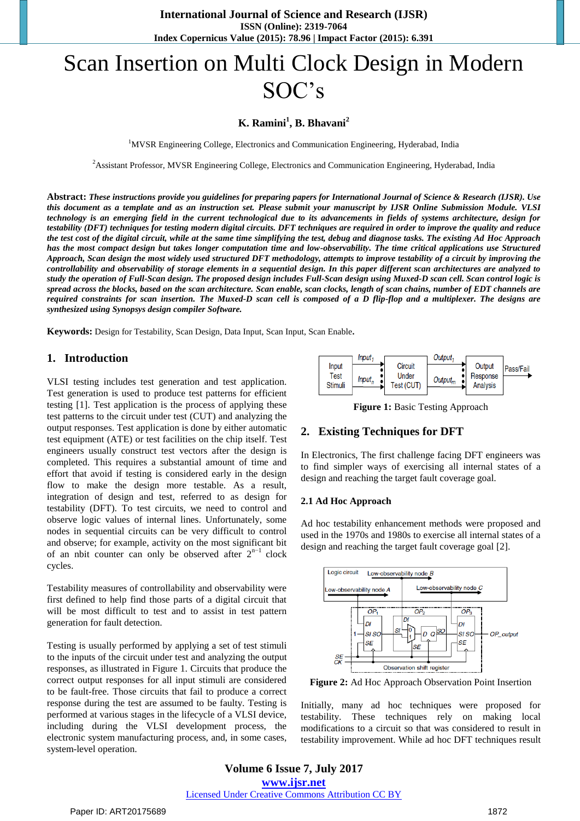# Scan Insertion on Multi Clock Design in Modern SOC's

# **K. Ramini<sup>1</sup> , B. Bhavani<sup>2</sup>**

<sup>1</sup>MVSR Engineering College, Electronics and Communication Engineering, Hyderabad, India

<sup>2</sup>Assistant Professor, MVSR Engineering College, Electronics and Communication Engineering, Hyderabad, India

**Abstract:** *These instructions provide you guidelines for preparing papers for International Journal of Science & Research (IJSR). Use this document as a template and as an instruction set. Please submit your manuscript by IJSR Online Submission Module. VLSI technology is an emerging field in the current technological due to its advancements in fields of systems architecture, design for testability (DFT) techniques for testing modern digital circuits. DFT techniques are required in order to improve the quality and reduce the test cost of the digital circuit, while at the same time simplifying the test, debug and diagnose tasks. The existing Ad Hoc Approach has the most compact design but takes longer computation time and low-observability. The time critical applications use Structured Approach, Scan design the most widely used structured DFT methodology, attempts to improve testability of a circuit by improving the controllability and observability of storage elements in a sequential design. In this paper different scan architectures are analyzed to study the operation of Full-Scan design. The proposed design includes Full-Scan design using Muxed-D scan cell. Scan control logic is spread across the blocks, based on the scan architecture. Scan enable, scan clocks, length of scan chains, number of EDT channels are required constraints for scan insertion. The Muxed-D scan cell is composed of a D flip-flop and a multiplexer. The designs are synthesized using Synopsys design compiler Software.*

**Keywords:** Design for Testability, Scan Design, Data Input, Scan Input, Scan Enable**.** 

# **1. Introduction**

VLSI testing includes test generation and test application. Test generation is used to produce test patterns for efficient testing [1]. Test application is the process of applying these test patterns to the circuit under test (CUT) and analyzing the output responses. Test application is done by either automatic test equipment (ATE) or test facilities on the chip itself. Test engineers usually construct test vectors after the design is completed. This requires a substantial amount of time and effort that avoid if testing is considered early in the design flow to make the design more testable. As a result, integration of design and test, referred to as design for testability (DFT). To test circuits, we need to control and observe logic values of internal lines. Unfortunately, some nodes in sequential circuits can be very difficult to control and observe; for example, activity on the most significant bit of an nbit counter can only be observed after  $2^{n-1}$  clock cycles.

Testability measures of controllability and observability were first defined to help find those parts of a digital circuit that will be most difficult to test and to assist in test pattern generation for fault detection.

Testing is usually performed by applying a set of test stimuli to the inputs of the circuit under test and analyzing the output responses, as illustrated in Figure 1. Circuits that produce the correct output responses for all input stimuli are considered to be fault-free. Those circuits that fail to produce a correct response during the test are assumed to be faulty. Testing is performed at various stages in the lifecycle of a VLSI device, including during the VLSI development process, the electronic system manufacturing process, and, in some cases, system-level operation.



**Figure 1:** Basic Testing Approach

# **2. Existing Techniques for DFT**

In Electronics, The first challenge facing DFT engineers was to find simpler ways of exercising all internal states of a design and reaching the target fault coverage goal.

#### **2.1 Ad Hoc Approach**

Ad hoc testability enhancement methods were proposed and used in the 1970s and 1980s to exercise all internal states of a design and reaching the target fault coverage goal [2].



**Figure 2:** Ad Hoc Approach Observation Point Insertion

Initially, many ad hoc techniques were proposed for testability. These techniques rely on making local modifications to a circuit so that was considered to result in testability improvement. While ad hoc DFT techniques result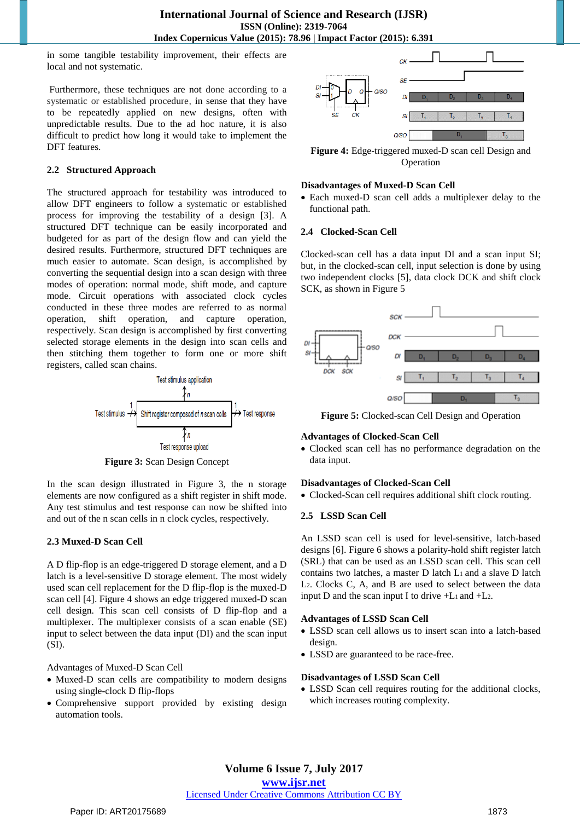in some tangible testability improvement, their effects are local and not systematic.

Furthermore, these techniques are not done according to a systematic or established procedure, in sense that they have to be repeatedly applied on new designs, often with unpredictable results. Due to the ad hoc nature, it is also difficult to predict how long it would take to implement the DFT features.

#### **2.2 Structured Approach**

The structured approach for testability was introduced to allow DFT engineers to follow a systematic or established process for improving the testability of a design [3]. A structured DFT technique can be easily incorporated and budgeted for as part of the design flow and can yield the desired results. Furthermore, structured DFT techniques are much easier to automate. Scan design, is accomplished by converting the sequential design into a scan design with three modes of operation: normal mode, shift mode, and capture mode. Circuit operations with associated clock cycles conducted in these three modes are referred to as normal operation, shift operation, and capture operation, respectively. Scan design is accomplished by first converting selected storage elements in the design into scan cells and then stitching them together to form one or more shift registers, called scan chains.



**Figure 3:** Scan Design Concept

In the scan design illustrated in Figure 3, the n storage elements are now configured as a shift register in shift mode. Any test stimulus and test response can now be shifted into and out of the n scan cells in n clock cycles, respectively.

#### **2.3 Muxed-D Scan Cell**

A D flip-flop is an edge-triggered D storage element, and a D latch is a level-sensitive D storage element. The most widely used scan cell replacement for the D flip-flop is the muxed-D scan cell [4]. Figure 4 shows an edge triggered muxed-D scan cell design. This scan cell consists of D flip-flop and a multiplexer. The multiplexer consists of a scan enable (SE) input to select between the data input (DI) and the scan input (SI).

Advantages of Muxed-D Scan Cell

- Muxed-D scan cells are compatibility to modern designs using single-clock D flip-flops
- Comprehensive support provided by existing design automation tools.



**Figure 4:** Edge-triggered muxed-D scan cell Design and Operation

#### **Disadvantages of Muxed-D Scan Cell**

 Each muxed-D scan cell adds a multiplexer delay to the functional path.

#### **2.4 Clocked-Scan Cell**

Clocked-scan cell has a data input DI and a scan input SI; but, in the clocked-scan cell, input selection is done by using two independent clocks [5], data clock DCK and shift clock SCK, as shown in Figure 5



**Figure 5:** Clocked-scan Cell Design and Operation

#### **Advantages of Clocked-Scan Cell**

 Clocked scan cell has no performance degradation on the data input.

#### **Disadvantages of Clocked-Scan Cell**

Clocked-Scan cell requires additional shift clock routing.

#### **2.5 LSSD Scan Cell**

An LSSD scan cell is used for level-sensitive, latch-based designs [6]. Figure 6 shows a polarity-hold shift register latch (SRL) that can be used as an LSSD scan cell. This scan cell contains two latches, a master D latch L1 and a slave D latch L2. Clocks C, A, and B are used to select between the data input D and the scan input I to drive  $+L_1$  and  $+L_2$ .

#### **Advantages of LSSD Scan Cell**

- LSSD scan cell allows us to insert scan into a latch-based design.
- LSSD are guaranteed to be race-free.

#### **Disadvantages of LSSD Scan Cell**

 LSSD Scan cell requires routing for the additional clocks, which increases routing complexity.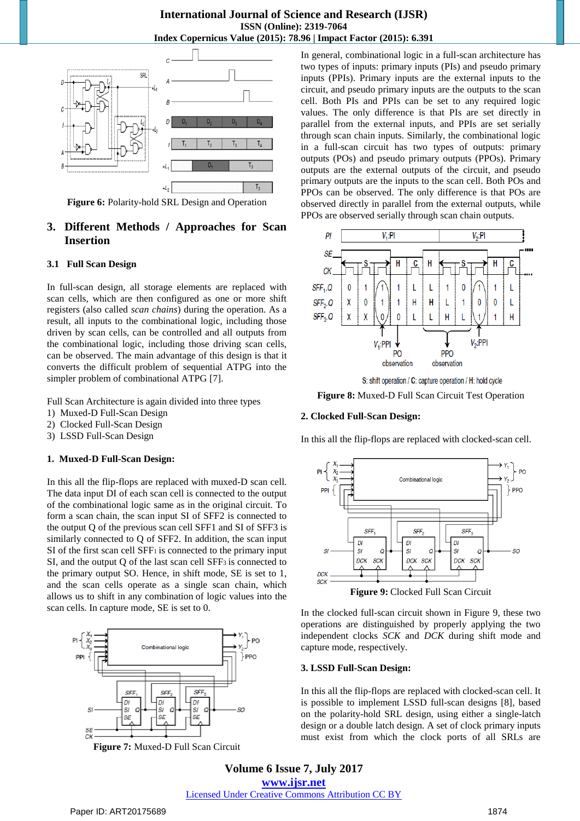# **International Journal of Science and Research (IJSR) ISSN (Online): 2319-7064 Index Copernicus Value (2015): 78.96 | Impact Factor (2015): 6.391**



**Figure 6:** Polarity-hold SRL Design and Operation

# **3. Different Methods / Approaches for Scan Insertion**

#### **3.1 Full Scan Design**

In full-scan design, all storage elements are replaced with scan cells, which are then configured as one or more shift registers (also called *scan chains*) during the operation. As a result, all inputs to the combinational logic, including those driven by scan cells, can be controlled and all outputs from the combinational logic, including those driving scan cells, can be observed. The main advantage of this design is that it converts the difficult problem of sequential ATPG into the simpler problem of combinational ATPG [7].

Full Scan Architecture is again divided into three types

- 1) Muxed-D Full-Scan Design
- 2) Clocked Full-Scan Design
- 3) LSSD Full-Scan Design

#### **1. Muxed-D Full-Scan Design:**

In this all the flip-flops are replaced with muxed-D scan cell. The data input DI of each scan cell is connected to the output of the combinational logic same as in the original circuit. To form a scan chain, the scan input SI of SFF2 is connected to the output Q of the previous scan cell SFF1 and SI of SFF3 is similarly connected to Q of SFF2. In addition, the scan input SI of the first scan cell SFF1 is connected to the primary input SI, and the output Q of the last scan cell SFF3 is connected to the primary output SO. Hence, in shift mode, SE is set to 1, and the scan cells operate as a single scan chain, which allows us to shift in any combination of logic values into the scan cells. In capture mode, SE is set to 0.



**Figure 7:** Muxed-D Full Scan Circuit

In general, combinational logic in a full-scan architecture has two types of inputs: primary inputs (PIs) and pseudo primary inputs (PPIs). Primary inputs are the external inputs to the circuit, and pseudo primary inputs are the outputs to the scan cell. Both PIs and PPIs can be set to any required logic values. The only difference is that PIs are set directly in parallel from the external inputs, and PPIs are set serially through scan chain inputs. Similarly, the combinational logic in a full-scan circuit has two types of outputs: primary outputs (POs) and pseudo primary outputs (PPOs). Primary outputs are the external outputs of the circuit, and pseudo primary outputs are the inputs to the scan cell. Both POs and PPOs can be observed. The only difference is that POs are observed directly in parallel from the external outputs, while PPOs are observed serially through scan chain outputs.



S: shift operation / C: capture operation / H: hold cycle **Figure 8:** Muxed-D Full Scan Circuit Test Operation

#### **2. Clocked Full-Scan Design:**

In this all the flip-flops are replaced with clocked-scan cell.



In the clocked full-scan circuit shown in Figure 9, these two operations are distinguished by properly applying the two independent clocks *SCK* and *DCK* during shift mode and capture mode, respectively.

#### **3. LSSD Full-Scan Design:**

In this all the flip-flops are replaced with clocked-scan cell. It is possible to implement LSSD full-scan designs [8], based on the polarity-hold SRL design, using either a single-latch design or a double latch design. A set of clock primary inputs must exist from which the clock ports of all SRLs are

**Volume 6 Issue 7, July 2017 www.ijsr.net** Licensed Under Creative Commons Attribution CC BY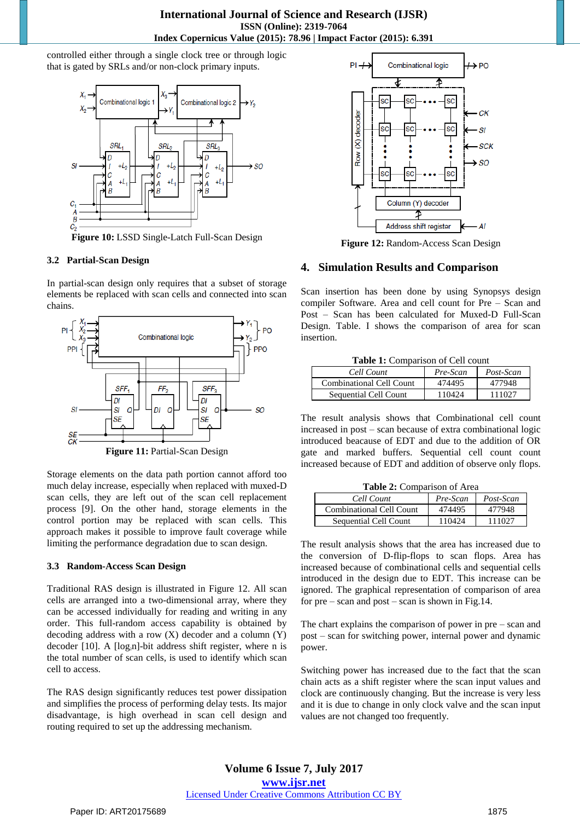controlled either through a single clock tree or through logic that is gated by SRLs and/or non-clock primary inputs.



**Figure 10:** LSSD Single-Latch Full-Scan Design

#### **3.2 Partial-Scan Design**

In partial-scan design only requires that a subset of storage elements be replaced with scan cells and connected into scan chains.



Storage elements on the data path portion cannot afford too much delay increase, especially when replaced with muxed-D scan cells, they are left out of the scan cell replacement process [9]. On the other hand, storage elements in the control portion may be replaced with scan cells. This approach makes it possible to improve fault coverage while limiting the performance degradation due to scan design.

# **3.3 Random-Access Scan Design**

Traditional RAS design is illustrated in Figure 12. All scan cells are arranged into a two-dimensional array, where they can be accessed individually for reading and writing in any order. This full-random access capability is obtained by decoding address with a row  $(X)$  decoder and a column  $(Y)$ decoder  $[10]$ . A  $[log<sub>2</sub>n]$ -bit address shift register, where n is the total number of scan cells, is used to identify which scan cell to access.

The RAS design significantly reduces test power dissipation and simplifies the process of performing delay tests. Its major disadvantage, is high overhead in scan cell design and routing required to set up the addressing mechanism.



**Figure 12:** Random-Access Scan Design

# **4. Simulation Results and Comparison**

Scan insertion has been done by using Synopsys design compiler Software. Area and cell count for Pre – Scan and Post – Scan has been calculated for Muxed-D Full-Scan Design. Table. I shows the comparison of area for scan insertion.

**Table 1:** Comparison of Cell count

| Cell Count                      | Pre-Scan | Post-Scan |
|---------------------------------|----------|-----------|
| <b>Combinational Cell Count</b> | 474495   | 477948    |
| Sequential Cell Count           | 110424   | 111027    |

The result analysis shows that Combinational cell count increased in post – scan because of extra combinational logic introduced beacause of EDT and due to the addition of OR gate and marked buffers. Sequential cell count count increased because of EDT and addition of observe only flops.

**Table 2:** Comparison of Area

| Cell Count                   | Pre-Scan | Post-Scan |
|------------------------------|----------|-----------|
| Combinational Cell Count     | 474495   | 477948    |
| <b>Sequential Cell Count</b> | 110424   | 111027    |

The result analysis shows that the area has increased due to the conversion of D-flip-flops to scan flops. Area has increased because of combinational cells and sequential cells introduced in the design due to EDT. This increase can be ignored. The graphical representation of comparison of area for  $pre - scan$  and  $post - scan$  is shown in Fig.14.

The chart explains the comparison of power in pre – scan and post – scan for switching power, internal power and dynamic power.

Switching power has increased due to the fact that the scan chain acts as a shift register where the scan input values and clock are continuously changing. But the increase is very less and it is due to change in only clock valve and the scan input values are not changed too frequently.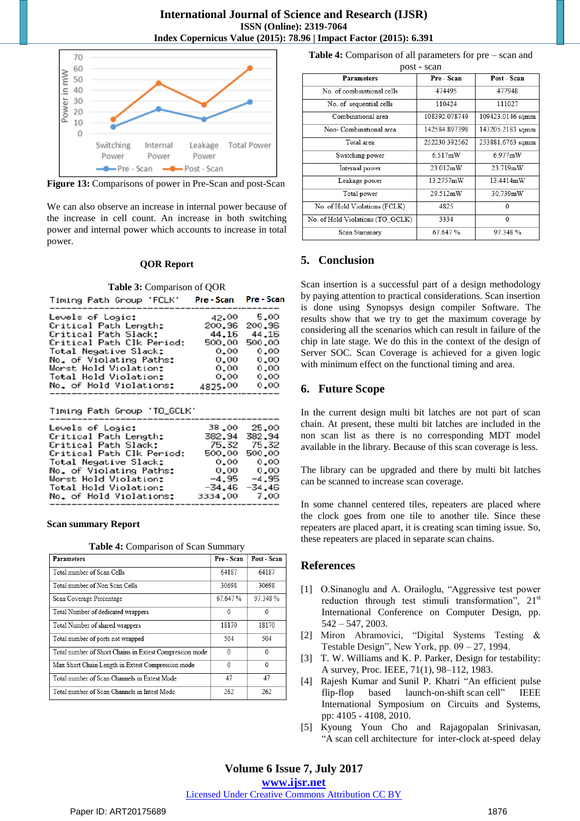

**Figure 13:** Comparisons of power in Pre-Scan and post-Scan

We can also observe an increase in internal power because of the increase in cell count. An increase in both switching power and internal power which accounts to increase in total power.

#### **QOR Report**

#### **Table 3:** Comparison of QOR

| Timing Path Group 'FCLK'  | Pre - Scan | Pre - Scan |
|---------------------------|------------|------------|
| Levels of Logic:          | 42.00      | 5.00       |
| Critical Path Length:     | 200,96     | 200,96     |
| Critical Path Slack:      | 44.16      | 44,16      |
| Critical Path Clk Period: | 500,00     | 500,00     |
| Total Negative Slack:     | 0.00       | 0.00       |
| No. of Violating Paths:   | 0.00       | 0.00       |
| Worst Hold Violation:     | 0.00       | 0.00       |
| Total Hold Violation:     | 0.00       | 0.00       |
| No. of Hold Violations:   | 4825.00    | 0.00       |
|                           |            |            |

Timing Path Group 'TO\_GCLK'

| Levels of Logic:          | 38,00    | 25.00    |
|---------------------------|----------|----------|
| Critical Path Length:     | 382.94   | 382,94   |
| Critical Path Slack:      | 75.32    | 75.32    |
| Critical Path Clk Period: | 500,00   | 500,00   |
| Total Negative Slack:     | 0.00     | 0.00     |
| No. of Violating Paths:   | 0.00     | 0.00     |
| Worst Hold Violation:     | $-4.95$  | $-4.95$  |
| Total Hold Violation:     | $-34.46$ | $-34.46$ |
| No. of Hold Violations:   | 3334,00  | 7,00     |
|                           |          |          |

#### **Scan summary Report**

**Table 4:** Comparison of Scan Summary

| $\mathbf{u}$ , $\mathbf{u}$ , $\mathbf{v}$ , $\mathbf{v}$ , $\mathbf{v}$ , $\mathbf{u}$ , $\mathbf{v}$ , $\mathbf{v}$ , $\mathbf{v}$ , $\mathbf{v}$ , $\mathbf{v}$ , $\mathbf{v}$ , $\mathbf{v}$ , $\mathbf{v}$ , $\mathbf{v}$ , $\mathbf{v}$ , $\mathbf{v}$ , $\mathbf{v}$ , $\mathbf{v}$ , $\mathbf{v}$ , $\mathbf{v}$ , $\mathbf{v}$ , |            |             |  |
|-------------------------------------------------------------------------------------------------------------------------------------------------------------------------------------------------------------------------------------------------------------------------------------------------------------------------------------------|------------|-------------|--|
| <b>Parameters</b>                                                                                                                                                                                                                                                                                                                         | Pre - Scan | Post - Scan |  |
| Total number of Scan Cells                                                                                                                                                                                                                                                                                                                | 64187      | 64187       |  |
| Total number of Non Scan Cells                                                                                                                                                                                                                                                                                                            | 30698      | 30698       |  |
| Scan Coverage Percentage                                                                                                                                                                                                                                                                                                                  | 67.647%    | 97.348%     |  |
| Total Number of dedicated wrappers                                                                                                                                                                                                                                                                                                        | 0          | 0           |  |
| Total Number of shared wrappers                                                                                                                                                                                                                                                                                                           | 18170      | 18170       |  |
| Total number of ports not wrapped                                                                                                                                                                                                                                                                                                         | 504        | 504         |  |
| Total number of Short Chains in Extest Compression mode                                                                                                                                                                                                                                                                                   | 0          | $^{0}$      |  |
| Max Short Chain Length in Extest Compression mode                                                                                                                                                                                                                                                                                         | $\theta$   | $\Omega$    |  |
| Total number of Scan Channels in Extest Mode                                                                                                                                                                                                                                                                                              | 47         | 47          |  |
| Total number of Scan Channels in Intest Mode                                                                                                                                                                                                                                                                                              | 262        | 262         |  |

| <b>Table 4:</b> Comparison of all parameters for $pre - scan$ and |  |  |
|-------------------------------------------------------------------|--|--|
|                                                                   |  |  |

| post - scan                      |               |                  |  |  |
|----------------------------------|---------------|------------------|--|--|
| <b>Parameters</b>                | Pre - Scan    | Post - Scan      |  |  |
| No of combinational cells        | 474495        | 477948           |  |  |
| No. of sequential cells          | 110424        | 111027           |  |  |
| Combinational area               | 108392.078749 | 109423.0146 sqmm |  |  |
| Non-Combinational area           | 142584 897398 | 143205.2183 sqmm |  |  |
| Total area                       | 252230.392562 | 253881.6763 sqmm |  |  |
| Switching power                  | 6.517mW       | $6.977$ mW       |  |  |
| Internal power                   | 23.012mW      | 23 719mW         |  |  |
| Leakage power                    | 13 2757mW     | 13 4414mW        |  |  |
| Total power                      | 29.512mW      | 30.739mW         |  |  |
| No. of Hold Violations (FCLK)    | 4825          | $\Omega$         |  |  |
| No. of Hold Violations (TO GCLK) | 3334          | $\mathbf{0}$     |  |  |
| Scan Summary                     | 67.647%       | 97.348%          |  |  |

#### **5. Conclusion**

Scan insertion is a successful part of a design methodology by paying attention to practical considerations. Scan insertion is done using Synopsys design compiler Software. The results show that we try to get the maximum coverage by considering all the scenarios which can result in failure of the chip in late stage. We do this in the context of the design of Server SOC. Scan Coverage is achieved for a given logic with minimum effect on the functional timing and area.

#### **6. Future Scope**

In the current design multi bit latches are not part of scan chain. At present, these multi bit latches are included in the non scan list as there is no corresponding MDT model available in the library. Because of this scan coverage is less.

The library can be upgraded and there by multi bit latches can be scanned to increase scan coverage.

In some channel centered tiles, repeaters are placed where the clock goes from one tile to another tile. Since these repeaters are placed apart, it is creating scan timing issue. So, these repeaters are placed in separate scan chains.

#### **References**

- [1] O.Sinanoglu and A. Orailoglu, "Aggressive test power reduction through test stimuli transformation",  $21<sup>st</sup>$ International Conference on Computer Design, pp. 542 – 547, 2003.
- [2] Miron Abramovici, "Digital Systems Testing & Testable Design", New York, pp. 09 – 27, 1994.
- [3] T. W. Williams and K. P. Parker, Design for testability: A survey, Proc. IEEE, 71(1), 98–112, 1983.
- [4] [Rajesh Kumar](http://ieeexplore.ieee.org/search/searchresult.jsp?searchWithin=%22Authors%22:.QT.Rajesh%20Kumar.QT.&newsearch=true) and [Sunil P. Khatri](http://ieeexplore.ieee.org/search/searchresult.jsp?searchWithin=%22Authors%22:.QT.Sunil%20P.%20Khatri.QT.&newsearch=true) ["An efficient pulse](http://ieeexplore.ieee.org/document/5537612/)  [flip-flop based launch-on-shift](http://ieeexplore.ieee.org/document/5537612/) scan cell" IEEE International Symposium on Circuits and Systems, pp: 4105 - 4108, 2010.
- [5] [Kyoung Youn Cho](http://ieeexplore.ieee.org/search/searchresult.jsp?searchWithin=%22Authors%22:.QT.Kyoung%20Youn%20Cho.QT.&newsearch=true) and [Rajagopalan Srinivasan,](http://ieeexplore.ieee.org/search/searchresult.jsp?searchWithin=%22Authors%22:.QT.Rajagopalan%20Srinivasan.QT.&newsearch=true) "A scan cell [architecture for inter-clock](http://ieeexplore.ieee.org/document/5783723/) at-speed delay

# **Volume 6 Issue 7, July 2017**

**www.ijsr.net**

Licensed Under Creative Commons Attribution CC BY